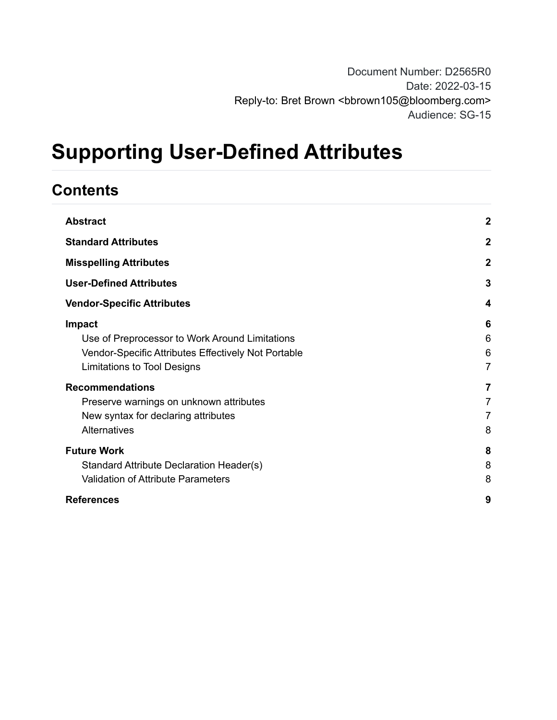# **Supporting User-Defined Attributes**

# **Contents**

| <b>Abstract</b>                                                                                                                                              | $\boldsymbol{2}$              |
|--------------------------------------------------------------------------------------------------------------------------------------------------------------|-------------------------------|
| <b>Standard Attributes</b>                                                                                                                                   | $\overline{2}$                |
| <b>Misspelling Attributes</b>                                                                                                                                | $\mathbf{2}$                  |
| <b>User-Defined Attributes</b>                                                                                                                               | 3                             |
| <b>Vendor-Specific Attributes</b>                                                                                                                            | 4                             |
| <b>Impact</b><br>Use of Preprocessor to Work Around Limitations<br>Vendor-Specific Attributes Effectively Not Portable<br><b>Limitations to Tool Designs</b> | 6<br>6<br>6<br>$\overline{7}$ |
| <b>Recommendations</b><br>Preserve warnings on unknown attributes<br>New syntax for declaring attributes<br>Alternatives                                     | 7<br>7<br>7<br>8              |
| <b>Future Work</b><br>Standard Attribute Declaration Header(s)<br><b>Validation of Attribute Parameters</b>                                                  | 8<br>8<br>8                   |
| <b>References</b>                                                                                                                                            | 9                             |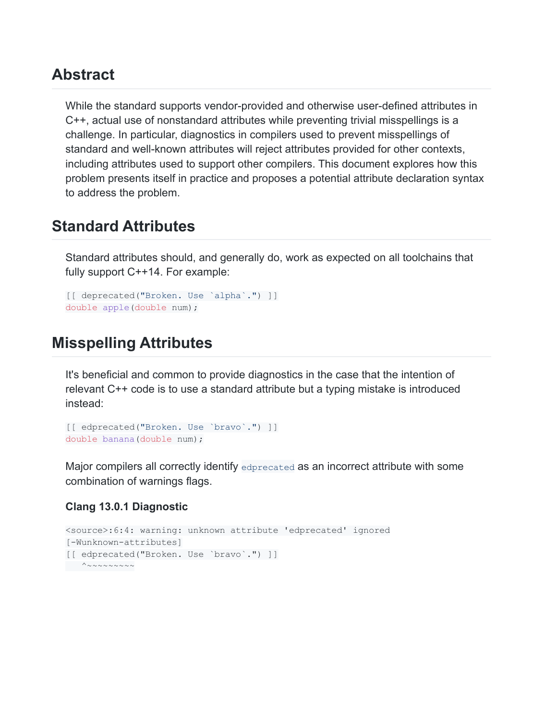### <span id="page-1-0"></span>**Abstract**

While the standard supports vendor-provided and otherwise user-defined attributes in C++, actual use of nonstandard attributes while preventing trivial misspellings is a challenge. In particular, diagnostics in compilers used to prevent misspellings of standard and well-known attributes will reject attributes provided for other contexts, including attributes used to support other compilers. This document explores how this problem presents itself in practice and proposes a potential attribute declaration syntax to address the problem.

### <span id="page-1-1"></span>**Standard Attributes**

Standard attributes should, and generally do, work as expected on all toolchains that fully support C++14. For example:

```
[[ deprecated("Broken. Use `alpha`.") ]]
double apple(double num);
```
### <span id="page-1-2"></span>**Misspelling Attributes**

It's beneficial and common to provide diagnostics in the case that the intention of relevant C++ code is to use a standard attribute but a typing mistake is introduced instead:

```
[[ edprecated("Broken. Use `bravo`.") ]]
double banana (double num) ;
```
Major compilers all correctly identify edprecated as an incorrect attribute with some combination of warnings flags.

#### **Clang 13.0.1 Diagnostic**

```
<source>:6:4: warning: unknown attribute 'edprecated' ignored
[-Wunknown-attributes]
[[ edprecated("Broken. Use `bravo`.") ]]
 ^{\wedge} ~~~~~~~~
```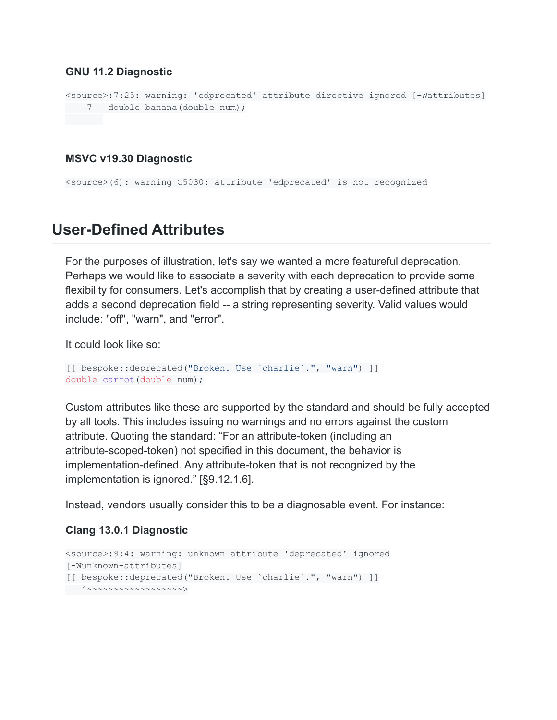#### **GNU 11.2 Diagnostic**

```
<source>:7:25: warning: 'edprecated' attribute directive ignored [-Wattributes]
7 | double banana(double num);
|| || || || || ||
```
#### **MSVC v19.30 Diagnostic**

<source>(6): warning C5030: attribute 'edprecated' is not recognized

### <span id="page-2-0"></span>**User-Defined Attributes**

For the purposes of illustration, let's say we wanted a more featureful deprecation. Perhaps we would like to associate a severity with each deprecation to provide some flexibility for consumers. Let's accomplish that by creating a user-defined attribute that adds a second deprecation field -- a string representing severity. Valid values would include: "off", "warn", and "error".

It could look like so:

```
[[ bespoke::deprecated("Broken. Use `charlie`.", "warn") ]]
double carrot (double num) ;
```
Custom attributes like these are supported by the standard and should be fully accepted by all tools. This includes issuing no warnings and no errors against the custom attribute. Quoting the standard: "For an attribute-token (including an attribute-scoped-token) not specified in this document, the behavior is implementation-defined. Any attribute-token that is not recognized by the implementation is ignored." [§9.12.1.6].

Instead, vendors usually consider this to be a diagnosable event. For instance:

#### **Clang 13.0.1 Diagnostic**

```
<source>:9:4: warning: unknown attribute 'deprecated' ignored
[-Wunknown-attributes]
[[ bespoke::deprecated("Broken. Use `charlie`.", "warn") ]]
^~~~~~~~~~~~~~~~~~~>
```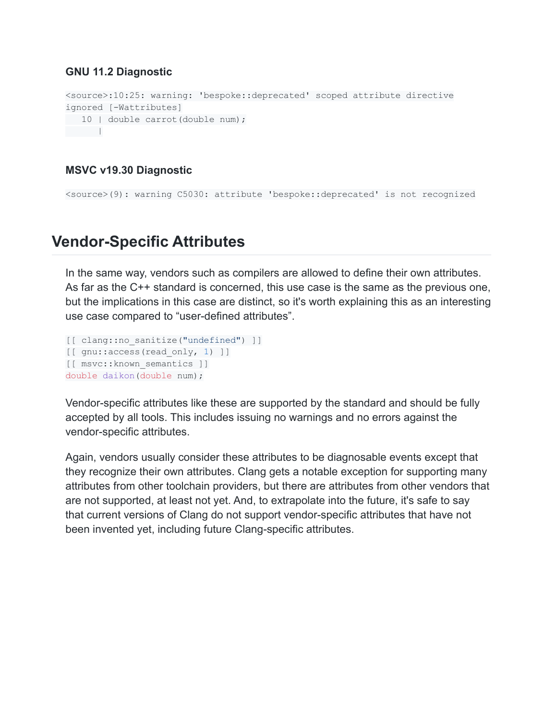#### **GNU 11.2 Diagnostic**

```
<source>:10:25: warning: 'bespoke::deprecated' scoped attribute directive
ignored [-Wattributes]
10 | double carrot(double num);
|
```
#### **MSVC v19.30 Diagnostic**

<source>(9): warning C5030: attribute 'bespoke::deprecated' is not recognized

### <span id="page-3-0"></span>**Vendor-Specific Attributes**

In the same way, vendors such as compilers are allowed to define their own attributes. As far as the C++ standard is concerned, this use case is the same as the previous one, but the implications in this case are distinct, so it's worth explaining this as an interesting use case compared to "user-defined attributes".

```
[[ clang::no_sanitize("undefined") ]]
[[ gnu::access(read only, 1) ]]
[[ msvc::known_semantics ]]
double daikon(double num);
```
Vendor-specific attributes like these are supported by the standard and should be fully accepted by all tools. This includes issuing no warnings and no errors against the vendor-specific attributes.

Again, vendors usually consider these attributes to be diagnosable events except that they recognize their own attributes. Clang gets a notable exception for supporting many attributes from other toolchain providers, but there are attributes from other vendors that are not supported, at least not yet. And, to extrapolate into the future, it's safe to say that current versions of Clang do not support vendor-specific attributes that have not been invented yet, including future Clang-specific attributes.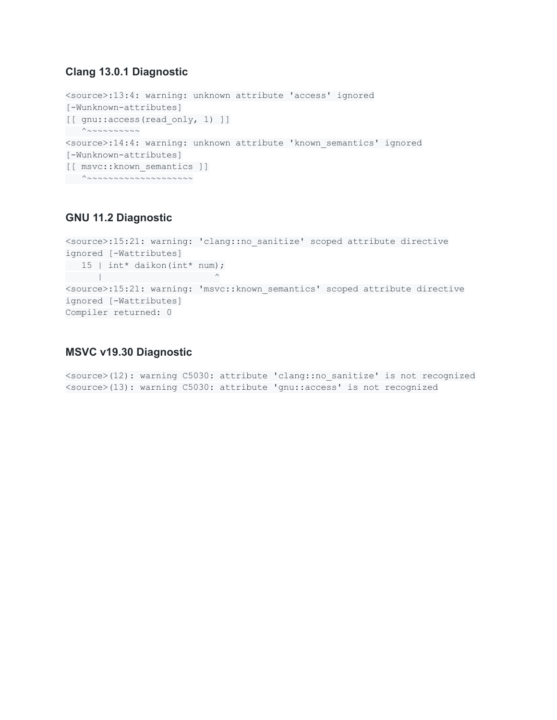#### **Clang 13.0.1 Diagnostic**

```
<source>:13:4: warning: unknown attribute 'access' ignored
[-Wunknown-attributes]
[[ gnu::access(read only, 1) ]]
  ^{\wedge} ~~~~~~~~~
<source>:14:4: warning: unknown attribute 'known_semantics' ignored
[-Wunknown-attributes]
[[ msvc::known_semantics ]]
^~~~~~~~~~~~~~~~~~~~~
```
#### **GNU 11.2 Diagnostic**

```
<source>:15:21: warning: 'clang::no_sanitize' scoped attribute directive
ignored [-Wattributes]
15 | int* daikon(int* num);
| | \sim | \sim | \sim | \sim | \sim | \sim | \sim | \sim<source>:15:21: warning: 'msvc::known_semantics' scoped attribute directive
ignored [-Wattributes]
Compiler returned: 0
```
#### **MSVC v19.30 Diagnostic**

<source>(12): warning C5030: attribute 'clang::no\_sanitize' is not recognized <source>(13): warning C5030: attribute 'gnu::access' is not recognized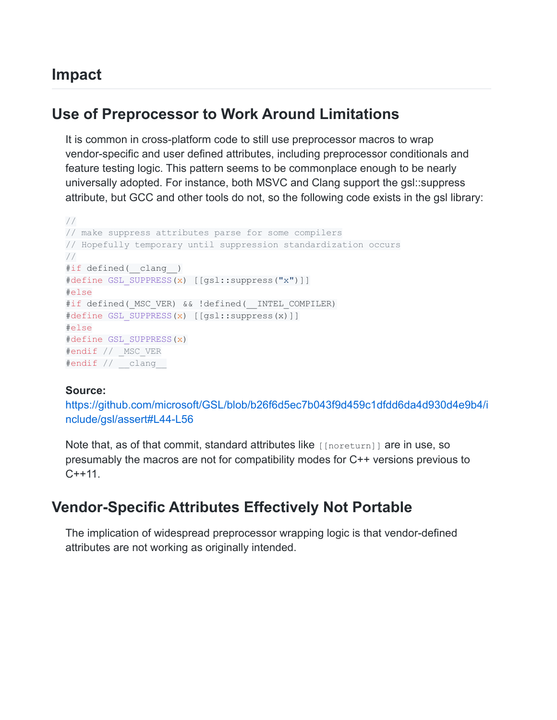### <span id="page-5-0"></span>**Impact**

### <span id="page-5-1"></span>**Use of Preprocessor to Work Around Limitations**

It is common in cross-platform code to still use preprocessor macros to wrap vendor-specific and user defined attributes, including preprocessor conditionals and feature testing logic. This pattern seems to be commonplace enough to be nearly universally adopted. For instance, both MSVC and Clang support the gsl::suppress attribute, but GCC and other tools do not, so the following code exists in the gsl library:

```
//
// make suppress attributes parse for some compilers
// Hopefully temporary until suppression standardization occurs
//
#if defined( clang )
#define GSL_SUPPRESS(x) [[gsl::suppress("x")]]
#else
#if defined( MSC VER) && !defined( INTEL COMPILER)
#define GSL_SUPPRESS(x) [[gsl::suppress(x)]]
#else
#define GSL_SUPPRESS(x)
#endif // MSC VER
#endif // __clang__
```
#### **Source:**

[https://github.com/microsoft/GSL/blob/b26f6d5ec7b043f9d459c1dfdd6da4d930d4e9b4/i](https://github.com/microsoft/GSL/blob/b26f6d5ec7b043f9d459c1dfdd6da4d930d4e9b4/include/gsl/assert#L44-L56) [nclude/gsl/assert#L44-L56](https://github.com/microsoft/GSL/blob/b26f6d5ec7b043f9d459c1dfdd6da4d930d4e9b4/include/gsl/assert#L44-L56)

Note that, as of that commit, standard attributes like [[noreturn]] are in use, so presumably the macros are not for compatibility modes for C++ versions previous to  $C++11$ .

### <span id="page-5-2"></span>**Vendor-Specific Attributes Effectively Not Portable**

The implication of widespread preprocessor wrapping logic is that vendor-defined attributes are not working as originally intended.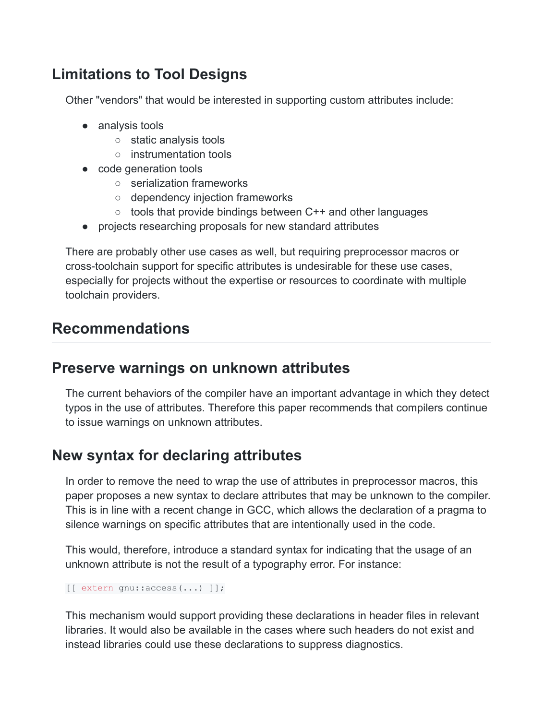# <span id="page-6-0"></span>**Limitations to Tool Designs**

Other "vendors" that would be interested in supporting custom attributes include:

- analysis tools
	- static analysis tools
	- instrumentation tools
- code generation tools
	- serialization frameworks
	- dependency injection frameworks
	- tools that provide bindings between C++ and other languages
- projects researching proposals for new standard attributes

There are probably other use cases as well, but requiring preprocessor macros or cross-toolchain support for specific attributes is undesirable for these use cases, especially for projects without the expertise or resources to coordinate with multiple toolchain providers.

# <span id="page-6-1"></span>**Recommendations**

### <span id="page-6-2"></span>**Preserve warnings on unknown attributes**

The current behaviors of the compiler have an important advantage in which they detect typos in the use of attributes. Therefore this paper recommends that compilers continue to issue warnings on unknown attributes.

## <span id="page-6-3"></span>**New syntax for declaring attributes**

In order to remove the need to wrap the use of attributes in preprocessor macros, this paper proposes a new syntax to declare attributes that may be unknown to the compiler. This is in line with a recent change in GCC, which allows the declaration of a pragma to silence warnings on specific attributes that are intentionally used in the code.

This would, therefore, introduce a standard syntax for indicating that the usage of an unknown attribute is not the result of a typography error. For instance:

[[ extern gnu::access(...) ]];

This mechanism would support providing these declarations in header files in relevant libraries. It would also be available in the cases where such headers do not exist and instead libraries could use these declarations to suppress diagnostics.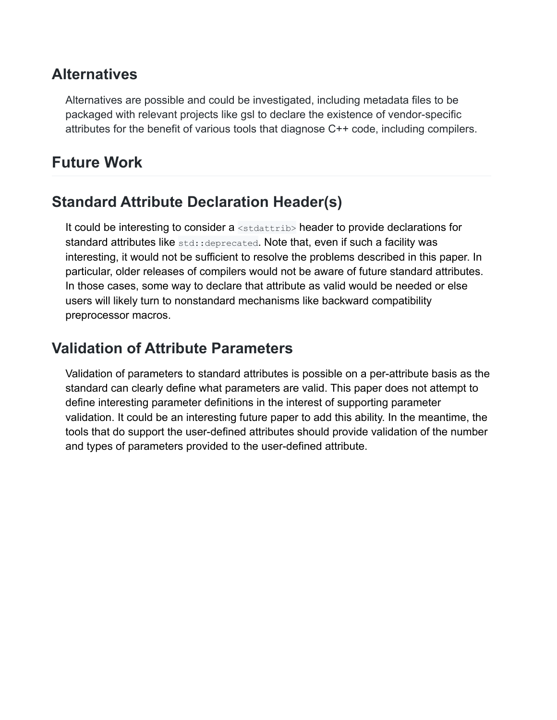### <span id="page-7-0"></span>**Alternatives**

Alternatives are possible and could be investigated, including metadata files to be packaged with relevant projects like gsl to declare the existence of vendor-specific attributes for the benefit of various tools that diagnose C++ code, including compilers.

# <span id="page-7-1"></span>**Future Work**

# <span id="page-7-2"></span>**Standard Attribute Declaration Header(s)**

It could be interesting to consider a <stdattrib> header to provide declarations for standard attributes like std::deprecated. Note that, even if such a facility was interesting, it would not be sufficient to resolve the problems described in this paper. In particular, older releases of compilers would not be aware of future standard attributes. In those cases, some way to declare that attribute as valid would be needed or else users will likely turn to nonstandard mechanisms like backward compatibility preprocessor macros.

# <span id="page-7-3"></span>**Validation of Attribute Parameters**

Validation of parameters to standard attributes is possible on a per-attribute basis as the standard can clearly define what parameters are valid. This paper does not attempt to define interesting parameter definitions in the interest of supporting parameter validation. It could be an interesting future paper to add this ability. In the meantime, the tools that do support the user-defined attributes should provide validation of the number and types of parameters provided to the user-defined attribute.